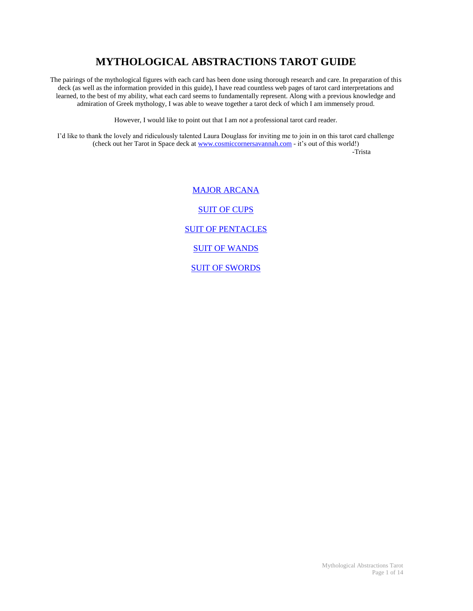# **MYTHOLOGICAL ABSTRACTIONS TAROT GUIDE**

The pairings of the mythological figures with each card has been done using thorough research and care. In preparation of this deck (as well as the information provided in this guide), I have read countless web pages of tarot card interpretations and learned, to the best of my ability, what each card seems to fundamentally represent. Along with a previous knowledge and admiration of Greek mythology, I was able to weave together a tarot deck of which I am immensely proud.

However, I would like to point out that I am *not* a professional tarot card reader.

I'd like to thank the lovely and ridiculously talented Laura Douglass for inviting me to join in on this tarot card challenge (check out her Tarot in Space deck a[t www.cosmiccornersavannah.com](http://www.cosmiccornersavannah.com/) - it's out of this world!) -Trista

> [MAJOR ARCANA](#page-1-0) [SUIT OF CUPS](#page-3-0) **[SUIT OF PENTACLES](#page-6-0)** [SUIT OF WANDS](#page-8-0) [SUIT OF SWORDS](#page-11-0)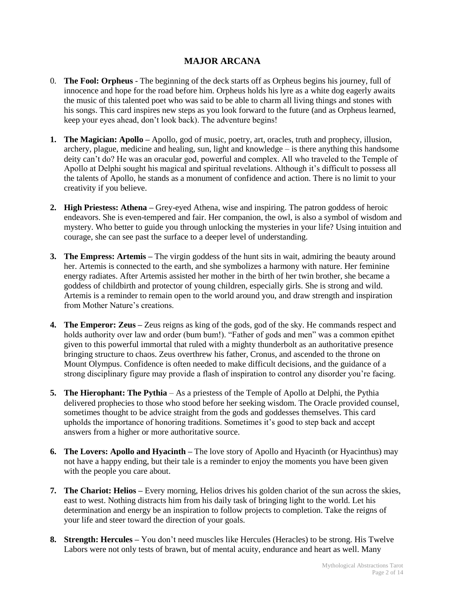## **MAJOR ARCANA**

- <span id="page-1-0"></span>0. **The Fool: Orpheus** - The beginning of the deck starts off as Orpheus begins his journey, full of innocence and hope for the road before him. Orpheus holds his lyre as a white dog eagerly awaits the music of this talented poet who was said to be able to charm all living things and stones with his songs. This card inspires new steps as you look forward to the future (and as Orpheus learned, keep your eyes ahead, don't look back). The adventure begins!
- **1. The Magician: Apollo –** Apollo, god of music, poetry, art, oracles, truth and prophecy, illusion, archery, plague, medicine and healing, sun, light and knowledge – is there anything this handsome deity can't do? He was an oracular god, powerful and complex. All who traveled to the Temple of Apollo at Delphi sought his magical and spiritual revelations. Although it's difficult to possess all the talents of Apollo, he stands as a monument of confidence and action. There is no limit to your creativity if you believe.
- **2. High Priestess: Athena –** Grey-eyed Athena, wise and inspiring. The patron goddess of heroic endeavors. She is even-tempered and fair. Her companion, the owl, is also a symbol of wisdom and mystery. Who better to guide you through unlocking the mysteries in your life? Using intuition and courage, she can see past the surface to a deeper level of understanding.
- **3. The Empress: Artemis –** The virgin goddess of the hunt sits in wait, admiring the beauty around her. Artemis is connected to the earth, and she symbolizes a harmony with nature. Her feminine energy radiates. After Artemis assisted her mother in the birth of her twin brother, she became a goddess of childbirth and protector of young children, especially girls. She is strong and wild. Artemis is a reminder to remain open to the world around you, and draw strength and inspiration from Mother Nature's creations.
- **4. The Emperor: Zeus –** Zeus reigns as king of the gods, god of the sky. He commands respect and holds authority over law and order (bum bum!). "Father of gods and men" was a common epithet given to this powerful immortal that ruled with a mighty thunderbolt as an authoritative presence bringing structure to chaos. Zeus overthrew his father, Cronus, and ascended to the throne on Mount Olympus. Confidence is often needed to make difficult decisions, and the guidance of a strong disciplinary figure may provide a flash of inspiration to control any disorder you're facing.
- **5. The Hierophant: The Pythia**  As a priestess of the Temple of Apollo at Delphi, the Pythia delivered prophecies to those who stood before her seeking wisdom. The Oracle provided counsel, sometimes thought to be advice straight from the gods and goddesses themselves. This card upholds the importance of honoring traditions. Sometimes it's good to step back and accept answers from a higher or more authoritative source.
- **6. The Lovers: Apollo and Hyacinth –** The love story of Apollo and Hyacinth (or Hyacinthus) may not have a happy ending, but their tale is a reminder to enjoy the moments you have been given with the people you care about.
- **7. The Chariot: Helios –** Every morning, Helios drives his golden chariot of the sun across the skies, east to west. Nothing distracts him from his daily task of bringing light to the world. Let his determination and energy be an inspiration to follow projects to completion. Take the reigns of your life and steer toward the direction of your goals.
- **8. Strength: Hercules –** You don't need muscles like Hercules (Heracles) to be strong. His Twelve Labors were not only tests of brawn, but of mental acuity, endurance and heart as well. Many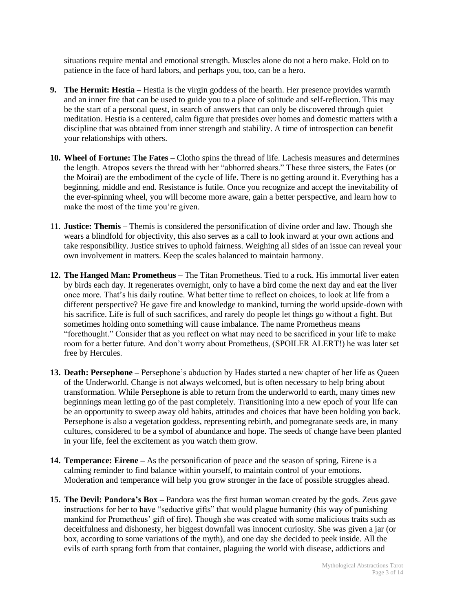situations require mental and emotional strength. Muscles alone do not a hero make. Hold on to patience in the face of hard labors, and perhaps you, too, can be a hero.

- **9. The Hermit: Hestia –** Hestia is the virgin goddess of the hearth. Her presence provides warmth and an inner fire that can be used to guide you to a place of solitude and self-reflection. This may be the start of a personal quest, in search of answers that can only be discovered through quiet meditation. Hestia is a centered, calm figure that presides over homes and domestic matters with a discipline that was obtained from inner strength and stability. A time of introspection can benefit your relationships with others.
- **10. Wheel of Fortune: The Fates –** Clotho spins the thread of life. Lachesis measures and determines the length. Atropos severs the thread with her "abhorred shears." These three sisters, the Fates (or the Moirai) are the embodiment of the cycle of life. There is no getting around it. Everything has a beginning, middle and end. Resistance is futile. Once you recognize and accept the inevitability of the ever-spinning wheel, you will become more aware, gain a better perspective, and learn how to make the most of the time you're given.
- 11. **Justice: Themis –** Themis is considered the personification of divine order and law. Though she wears a blindfold for objectivity, this also serves as a call to look inward at your own actions and take responsibility. Justice strives to uphold fairness. Weighing all sides of an issue can reveal your own involvement in matters. Keep the scales balanced to maintain harmony.
- **12. The Hanged Man: Prometheus –** The Titan Prometheus. Tied to a rock. His immortal liver eaten by birds each day. It regenerates overnight, only to have a bird come the next day and eat the liver once more. That's his daily routine. What better time to reflect on choices, to look at life from a different perspective? He gave fire and knowledge to mankind, turning the world upside-down with his sacrifice. Life is full of such sacrifices, and rarely do people let things go without a fight. But sometimes holding onto something will cause imbalance. The name Prometheus means "forethought." Consider that as you reflect on what may need to be sacrificed in your life to make room for a better future. And don't worry about Prometheus, (SPOILER ALERT!) he was later set free by Hercules.
- **13. Death: Persephone –** Persephone's abduction by Hades started a new chapter of her life as Queen of the Underworld. Change is not always welcomed, but is often necessary to help bring about transformation. While Persephone is able to return from the underworld to earth, many times new beginnings mean letting go of the past completely. Transitioning into a new epoch of your life can be an opportunity to sweep away old habits, attitudes and choices that have been holding you back. Persephone is also a vegetation goddess, representing rebirth, and pomegranate seeds are, in many cultures, considered to be a symbol of abundance and hope. The seeds of change have been planted in your life, feel the excitement as you watch them grow.
- **14. Temperance: Eirene –** As the personification of peace and the season of spring, Eirene is a calming reminder to find balance within yourself, to maintain control of your emotions. Moderation and temperance will help you grow stronger in the face of possible struggles ahead.
- **15. The Devil: Pandora's Box –** Pandora was the first human woman created by the gods. Zeus gave instructions for her to have "seductive gifts" that would plague humanity (his way of punishing mankind for Prometheus' gift of fire). Though she was created with some malicious traits such as deceitfulness and dishonesty, her biggest downfall was innocent curiosity. She was given a jar (or box, according to some variations of the myth), and one day she decided to peek inside. All the evils of earth sprang forth from that container, plaguing the world with disease, addictions and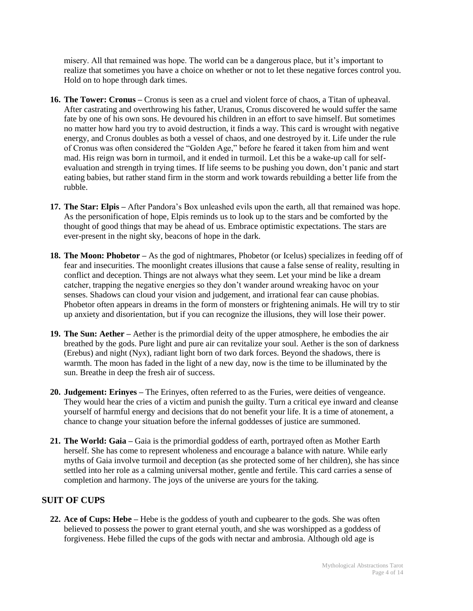misery. All that remained was hope. The world can be a dangerous place, but it's important to realize that sometimes you have a choice on whether or not to let these negative forces control you. Hold on to hope through dark times.

- **16. The Tower: Cronus –** Cronus is seen as a cruel and violent force of chaos, a Titan of upheaval. After castrating and overthrowing his father, Uranus, Cronus discovered he would suffer the same fate by one of his own sons. He devoured his children in an effort to save himself. But sometimes no matter how hard you try to avoid destruction, it finds a way. This card is wrought with negative energy, and Cronus doubles as both a vessel of chaos, and one destroyed by it. Life under the rule of Cronus was often considered the "Golden Age," before he feared it taken from him and went mad. His reign was born in turmoil, and it ended in turmoil. Let this be a wake-up call for selfevaluation and strength in trying times. If life seems to be pushing you down, don't panic and start eating babies, but rather stand firm in the storm and work towards rebuilding a better life from the rubble.
- **17. The Star: Elpis –** After Pandora's Box unleashed evils upon the earth, all that remained was hope. As the personification of hope, Elpis reminds us to look up to the stars and be comforted by the thought of good things that may be ahead of us. Embrace optimistic expectations. The stars are ever-present in the night sky, beacons of hope in the dark.
- **18. The Moon: Phobetor –** As the god of nightmares, Phobetor (or Icelus) specializes in feeding off of fear and insecurities. The moonlight creates illusions that cause a false sense of reality, resulting in conflict and deception. Things are not always what they seem. Let your mind be like a dream catcher, trapping the negative energies so they don't wander around wreaking havoc on your senses. Shadows can cloud your vision and judgement, and irrational fear can cause phobias. Phobetor often appears in dreams in the form of monsters or frightening animals. He will try to stir up anxiety and disorientation, but if you can recognize the illusions, they will lose their power.
- **19. The Sun: Aether** Aether is the primordial deity of the upper atmosphere, he embodies the air breathed by the gods. Pure light and pure air can revitalize your soul. Aether is the son of darkness (Erebus) and night (Nyx), radiant light born of two dark forces. Beyond the shadows, there is warmth. The moon has faded in the light of a new day, now is the time to be illuminated by the sun. Breathe in deep the fresh air of success.
- **20. Judgement: Erinyes –** The Erinyes, often referred to as the Furies, were deities of vengeance. They would hear the cries of a victim and punish the guilty. Turn a critical eye inward and cleanse yourself of harmful energy and decisions that do not benefit your life. It is a time of atonement, a chance to change your situation before the infernal goddesses of justice are summoned.
- **21. The World: Gaia –** Gaia is the primordial goddess of earth, portrayed often as Mother Earth herself. She has come to represent wholeness and encourage a balance with nature. While early myths of Gaia involve turmoil and deception (as she protected some of her children), she has since settled into her role as a calming universal mother, gentle and fertile. This card carries a sense of completion and harmony. The joys of the universe are yours for the taking.

# <span id="page-3-0"></span>**SUIT OF CUPS**

**22. Ace of Cups: Hebe –** Hebe is the goddess of youth and cupbearer to the gods. She was often believed to possess the power to grant eternal youth, and she was worshipped as a goddess of forgiveness. Hebe filled the cups of the gods with nectar and ambrosia. Although old age is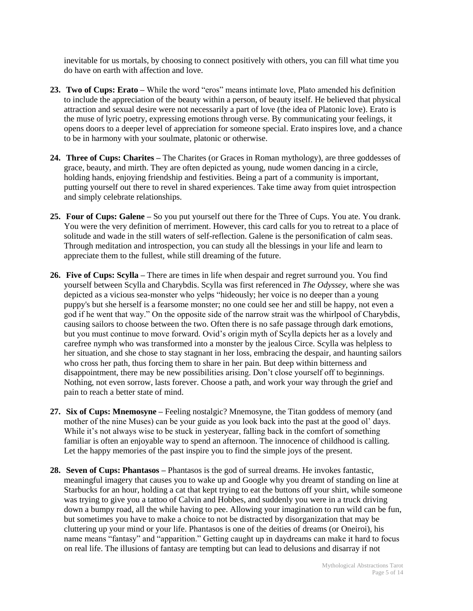inevitable for us mortals, by choosing to connect positively with others, you can fill what time you do have on earth with affection and love.

- **23. Two of Cups: Erato –** While the word "eros" means intimate love, Plato amended his definition to include the appreciation of the beauty within a person, of beauty itself. He believed that physical attraction and sexual desire were not necessarily a part of love (the idea of Platonic love). Erato is the muse of lyric poetry, expressing emotions through verse. By communicating your feelings, it opens doors to a deeper level of appreciation for someone special. Erato inspires love, and a chance to be in harmony with your soulmate, platonic or otherwise.
- **24. Three of Cups: Charites –** The Charites (or Graces in Roman mythology), are three goddesses of grace, beauty, and mirth. They are often depicted as young, nude women dancing in a circle, holding hands, enjoying friendship and festivities. Being a part of a community is important, putting yourself out there to revel in shared experiences. Take time away from quiet introspection and simply celebrate relationships.
- **25. Four of Cups: Galene –** So you put yourself out there for the Three of Cups. You ate. You drank. You were the very definition of merriment. However, this card calls for you to retreat to a place of solitude and wade in the still waters of self-reflection. Galene is the personification of calm seas. Through meditation and introspection, you can study all the blessings in your life and learn to appreciate them to the fullest, while still dreaming of the future.
- **26. Five of Cups: Scylla –** There are times in life when despair and regret surround you. You find yourself between Scylla and Charybdis. Scylla was first referenced in *The Odyssey*, where she was depicted as a vicious sea-monster who yelps "hideously; her voice is no deeper than a young puppy's but she herself is a fearsome monster; no one could see her and still be happy, not even a god if he went that way." On the opposite side of the narrow strait was the whirlpool of Charybdis, causing sailors to choose between the two. Often there is no safe passage through dark emotions, but you must continue to move forward. Ovid's origin myth of Scylla depicts her as a lovely and carefree nymph who was transformed into a monster by the jealous Circe. Scylla was helpless to her situation, and she chose to stay stagnant in her loss, embracing the despair, and haunting sailors who cross her path, thus forcing them to share in her pain. But deep within bitterness and disappointment, there may be new possibilities arising. Don't close yourself off to beginnings. Nothing, not even sorrow, lasts forever. Choose a path, and work your way through the grief and pain to reach a better state of mind.
- **27. Six of Cups: Mnemosyne –** Feeling nostalgic? Mnemosyne, the Titan goddess of memory (and mother of the nine Muses) can be your guide as you look back into the past at the good ol' days. While it's not always wise to be stuck in yesteryear, falling back in the comfort of something familiar is often an enjoyable way to spend an afternoon. The innocence of childhood is calling. Let the happy memories of the past inspire you to find the simple joys of the present.
- **28. Seven of Cups: Phantasos –** Phantasos is the god of surreal dreams. He invokes fantastic, meaningful imagery that causes you to wake up and Google why you dreamt of standing on line at Starbucks for an hour, holding a cat that kept trying to eat the buttons off your shirt, while someone was trying to give you a tattoo of Calvin and Hobbes, and suddenly you were in a truck driving down a bumpy road, all the while having to pee. Allowing your imagination to run wild can be fun, but sometimes you have to make a choice to not be distracted by disorganization that may be cluttering up your mind or your life. Phantasos is one of the deities of dreams (or Oneiroi), his name means "fantasy" and "apparition." Getting caught up in daydreams can make it hard to focus on real life. The illusions of fantasy are tempting but can lead to delusions and disarray if not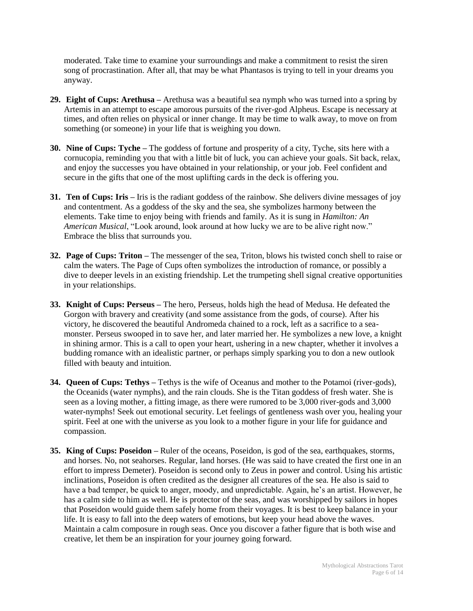moderated. Take time to examine your surroundings and make a commitment to resist the siren song of procrastination. After all, that may be what Phantasos is trying to tell in your dreams you anyway.

- **29. Eight of Cups: Arethusa –** Arethusa was a beautiful sea nymph who was turned into a spring by Artemis in an attempt to escape amorous pursuits of the river-god Alpheus. Escape is necessary at times, and often relies on physical or inner change. It may be time to walk away, to move on from something (or someone) in your life that is weighing you down.
- **30. Nine of Cups: Tyche –** The goddess of fortune and prosperity of a city, Tyche, sits here with a cornucopia, reminding you that with a little bit of luck, you can achieve your goals. Sit back, relax, and enjoy the successes you have obtained in your relationship, or your job. Feel confident and secure in the gifts that one of the most uplifting cards in the deck is offering you.
- **31. Ten of Cups: Iris –** Iris is the radiant goddess of the rainbow. She delivers divine messages of joy and contentment. As a goddess of the sky and the sea, she symbolizes harmony between the elements. Take time to enjoy being with friends and family. As it is sung in *Hamilton: An American Musical*, "Look around, look around at how lucky we are to be alive right now." Embrace the bliss that surrounds you.
- **32. Page of Cups: Triton –** The messenger of the sea, Triton, blows his twisted conch shell to raise or calm the waters. The Page of Cups often symbolizes the introduction of romance, or possibly a dive to deeper levels in an existing friendship. Let the trumpeting shell signal creative opportunities in your relationships.
- **33. Knight of Cups: Perseus –** The hero, Perseus, holds high the head of Medusa. He defeated the Gorgon with bravery and creativity (and some assistance from the gods, of course). After his victory, he discovered the beautiful Andromeda chained to a rock, left as a sacrifice to a seamonster. Perseus swooped in to save her, and later married her. He symbolizes a new love, a knight in shining armor. This is a call to open your heart, ushering in a new chapter, whether it involves a budding romance with an idealistic partner, or perhaps simply sparking you to don a new outlook filled with beauty and intuition.
- **34. Queen of Cups: Tethys –** Tethys is the wife of Oceanus and mother to the Potamoi (river-gods), the Oceanids (water nymphs), and the rain clouds. She is the Titan goddess of fresh water. She is seen as a loving mother, a fitting image, as there were rumored to be 3,000 river-gods and 3,000 water-nymphs! Seek out emotional security. Let feelings of gentleness wash over you, healing your spirit. Feel at one with the universe as you look to a mother figure in your life for guidance and compassion.
- **35. King of Cups: Poseidon –** Ruler of the oceans, Poseidon, is god of the sea, earthquakes, storms, and horses. No, not seahorses. Regular, land horses. (He was said to have created the first one in an effort to impress Demeter). Poseidon is second only to Zeus in power and control. Using his artistic inclinations, Poseidon is often credited as the designer all creatures of the sea. He also is said to have a bad temper, be quick to anger, moody, and unpredictable. Again, he's an artist. However, he has a calm side to him as well. He is protector of the seas, and was worshipped by sailors in hopes that Poseidon would guide them safely home from their voyages. It is best to keep balance in your life. It is easy to fall into the deep waters of emotions, but keep your head above the waves. Maintain a calm composure in rough seas. Once you discover a father figure that is both wise and creative, let them be an inspiration for your journey going forward.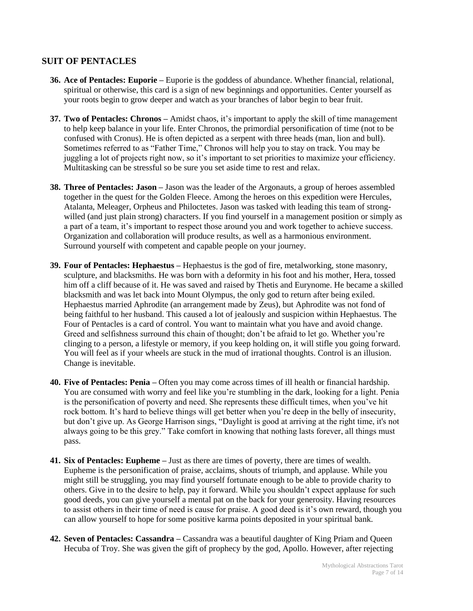#### <span id="page-6-0"></span>**SUIT OF PENTACLES**

- **36. Ace of Pentacles: Euporie –** Euporie is the goddess of abundance. Whether financial, relational, spiritual or otherwise, this card is a sign of new beginnings and opportunities. Center yourself as your roots begin to grow deeper and watch as your branches of labor begin to bear fruit.
- **37. Two of Pentacles: Chronos –** Amidst chaos, it's important to apply the skill of time management to help keep balance in your life. Enter Chronos, the primordial personification of time (not to be confused with Cronus). He is often depicted as a serpent with three heads (man, lion and bull). Sometimes referred to as "Father Time," Chronos will help you to stay on track. You may be juggling a lot of projects right now, so it's important to set priorities to maximize your efficiency. Multitasking can be stressful so be sure you set aside time to rest and relax.
- **38. Three of Pentacles: Jason –** Jason was the leader of the Argonauts, a group of heroes assembled together in the quest for the Golden Fleece. Among the heroes on this expedition were Hercules, Atalanta, Meleager, Orpheus and Philoctetes. Jason was tasked with leading this team of strongwilled (and just plain strong) characters. If you find yourself in a management position or simply as a part of a team, it's important to respect those around you and work together to achieve success. Organization and collaboration will produce results, as well as a harmonious environment. Surround yourself with competent and capable people on your journey.
- **39. Four of Pentacles: Hephaestus –** Hephaestus is the god of fire, metalworking, stone masonry, sculpture, and blacksmiths. He was born with a deformity in his foot and his mother, Hera, tossed him off a cliff because of it. He was saved and raised by Thetis and Eurynome. He became a skilled blacksmith and was let back into Mount Olympus, the only god to return after being exiled. Hephaestus married Aphrodite (an arrangement made by Zeus), but Aphrodite was not fond of being faithful to her husband. This caused a lot of jealously and suspicion within Hephaestus. The Four of Pentacles is a card of control. You want to maintain what you have and avoid change. Greed and selfishness surround this chain of thought; don't be afraid to let go. Whether you're clinging to a person, a lifestyle or memory, if you keep holding on, it will stifle you going forward. You will feel as if your wheels are stuck in the mud of irrational thoughts. Control is an illusion. Change is inevitable.
- **40. Five of Pentacles: Penia –** Often you may come across times of ill health or financial hardship. You are consumed with worry and feel like you're stumbling in the dark, looking for a light. Penia is the personification of poverty and need. She represents these difficult times, when you've hit rock bottom. It's hard to believe things will get better when you're deep in the belly of insecurity, but don't give up. As George Harrison sings, "Daylight is good at arriving at the right time, it's not always going to be this grey." Take comfort in knowing that nothing lasts forever, all things must pass.
- **41. Six of Pentacles: Eupheme –** Just as there are times of poverty, there are times of wealth. Eupheme is the personification of praise, acclaims, shouts of triumph, and applause. While you might still be struggling, you may find yourself fortunate enough to be able to provide charity to others. Give in to the desire to help, pay it forward. While you shouldn't expect applause for such good deeds, you can give yourself a mental pat on the back for your generosity. Having resources to assist others in their time of need is cause for praise. A good deed is it's own reward, though you can allow yourself to hope for some positive karma points deposited in your spiritual bank.
- **42. Seven of Pentacles: Cassandra –** Cassandra was a beautiful daughter of King Priam and Queen Hecuba of Troy. She was given the gift of prophecy by the god, Apollo. However, after rejecting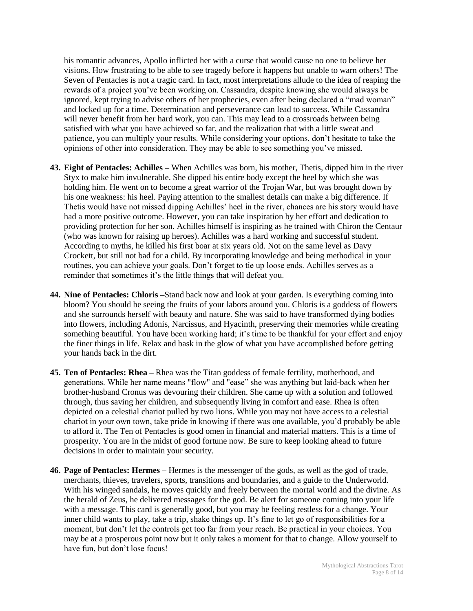his romantic advances, Apollo inflicted her with a curse that would cause no one to believe her visions. How frustrating to be able to see tragedy before it happens but unable to warn others! The Seven of Pentacles is not a tragic card. In fact, most interpretations allude to the idea of reaping the rewards of a project you've been working on. Cassandra, despite knowing she would always be ignored, kept trying to advise others of her prophecies, even after being declared a "mad woman" and locked up for a time. Determination and perseverance can lead to success. While Cassandra will never benefit from her hard work, you can. This may lead to a crossroads between being satisfied with what you have achieved so far, and the realization that with a little sweat and patience, you can multiply your results. While considering your options, don't hesitate to take the opinions of other into consideration. They may be able to see something you've missed.

- **43. Eight of Pentacles: Achilles –** When Achilles was born, his mother, Thetis, dipped him in the river Styx to make him invulnerable. She dipped his entire body except the heel by which she was holding him. He went on to become a great warrior of the Trojan War, but was brought down by his one weakness: his heel. Paying attention to the smallest details can make a big difference. If Thetis would have not missed dipping Achilles' heel in the river, chances are his story would have had a more positive outcome. However, you can take inspiration by her effort and dedication to providing protection for her son. Achilles himself is inspiring as he trained with Chiron the Centaur (who was known for raising up heroes). Achilles was a hard working and successful student. According to myths, he killed his first boar at six years old. Not on the same level as Davy Crockett, but still not bad for a child. By incorporating knowledge and being methodical in your routines, you can achieve your goals. Don't forget to tie up loose ends. Achilles serves as a reminder that sometimes it's the little things that will defeat you.
- **44. Nine of Pentacles: Chloris –**Stand back now and look at your garden. Is everything coming into bloom? You should be seeing the fruits of your labors around you. Chloris is a goddess of flowers and she surrounds herself with beauty and nature. She was said to have transformed dying bodies into flowers, including Adonis, Narcissus, and Hyacinth, preserving their memories while creating something beautiful. You have been working hard; it's time to be thankful for your effort and enjoy the finer things in life. Relax and bask in the glow of what you have accomplished before getting your hands back in the dirt.
- **45. Ten of Pentacles: Rhea –** Rhea was the Titan goddess of female fertility, motherhood, and generations. While her name means "flow" and "ease" she was anything but laid-back when her brother-husband Cronus was devouring their children. She came up with a solution and followed through, thus saving her children, and subsequently living in comfort and ease. Rhea is often depicted on a celestial chariot pulled by two lions. While you may not have access to a celestial chariot in your own town, take pride in knowing if there was one available, you'd probably be able to afford it. The Ten of Pentacles is good omen in financial and material matters. This is a time of prosperity. You are in the midst of good fortune now. Be sure to keep looking ahead to future decisions in order to maintain your security.
- **46. Page of Pentacles: Hermes –** Hermes is the messenger of the gods, as well as the god of trade, merchants, thieves, travelers, sports, transitions and boundaries, and a guide to the Underworld. With his winged sandals, he moves quickly and freely between the mortal world and the divine. As the herald of Zeus, he delivered messages for the god. Be alert for someone coming into your life with a message. This card is generally good, but you may be feeling restless for a change. Your inner child wants to play, take a trip, shake things up. It's fine to let go of responsibilities for a moment, but don't let the controls get too far from your reach. Be practical in your choices. You may be at a prosperous point now but it only takes a moment for that to change. Allow yourself to have fun, but don't lose focus!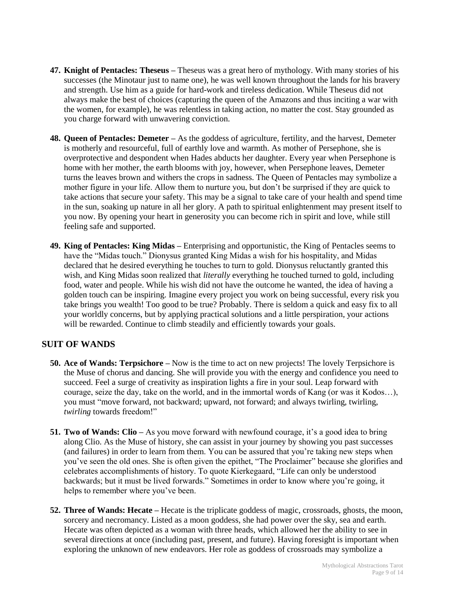- **47. Knight of Pentacles: Theseus –** Theseus was a great hero of mythology. With many stories of his successes (the Minotaur just to name one), he was well known throughout the lands for his bravery and strength. Use him as a guide for hard-work and tireless dedication. While Theseus did not always make the best of choices (capturing the queen of the Amazons and thus inciting a war with the women, for example), he was relentless in taking action, no matter the cost. Stay grounded as you charge forward with unwavering conviction.
- **48. Queen of Pentacles: Demeter –** As the goddess of agriculture, fertility, and the harvest, Demeter is motherly and resourceful, full of earthly love and warmth. As mother of Persephone, she is overprotective and despondent when Hades abducts her daughter. Every year when Persephone is home with her mother, the earth blooms with joy, however, when Persephone leaves, Demeter turns the leaves brown and withers the crops in sadness. The Queen of Pentacles may symbolize a mother figure in your life. Allow them to nurture you, but don't be surprised if they are quick to take actions that secure your safety. This may be a signal to take care of your health and spend time in the sun, soaking up nature in all her glory. A path to spiritual enlightenment may present itself to you now. By opening your heart in generosity you can become rich in spirit and love, while still feeling safe and supported.
- **49. King of Pentacles: King Midas –** Enterprising and opportunistic, the King of Pentacles seems to have the "Midas touch." Dionysus granted King Midas a wish for his hospitality, and Midas declared that he desired everything he touches to turn to gold. Dionysus reluctantly granted this wish, and King Midas soon realized that *literally* everything he touched turned to gold, including food, water and people. While his wish did not have the outcome he wanted, the idea of having a golden touch can be inspiring. Imagine every project you work on being successful, every risk you take brings you wealth! Too good to be true? Probably. There is seldom a quick and easy fix to all your worldly concerns, but by applying practical solutions and a little perspiration, your actions will be rewarded. Continue to climb steadily and efficiently towards your goals.

#### <span id="page-8-0"></span>**SUIT OF WANDS**

- **50. Ace of Wands: Terpsichore –** Now is the time to act on new projects! The lovely Terpsichore is the Muse of chorus and dancing. She will provide you with the energy and confidence you need to succeed. Feel a surge of creativity as inspiration lights a fire in your soul. Leap forward with courage, seize the day, take on the world, and in the immortal words of Kang (or was it Kodos…), you must "move forward, not backward; upward, not forward; and always twirling, twirling, *twirling* towards freedom!"
- **51. Two of Wands: Clio –** As you move forward with newfound courage, it's a good idea to bring along Clio. As the Muse of history, she can assist in your journey by showing you past successes (and failures) in order to learn from them. You can be assured that you're taking new steps when you've seen the old ones. She is often given the epithet, "The Proclaimer" because she glorifies and celebrates accomplishments of history. To quote Kierkegaard, "Life can only be understood backwards; but it must be lived forwards." Sometimes in order to know where you're going, it helps to remember where you've been.
- **52. Three of Wands: Hecate –** Hecate is the triplicate goddess of magic, crossroads, ghosts, the moon, sorcery and necromancy. Listed as a moon goddess, she had power over the sky, sea and earth. Hecate was often depicted as a woman with three heads, which allowed her the ability to see in several directions at once (including past, present, and future). Having foresight is important when exploring the unknown of new endeavors. Her role as goddess of crossroads may symbolize a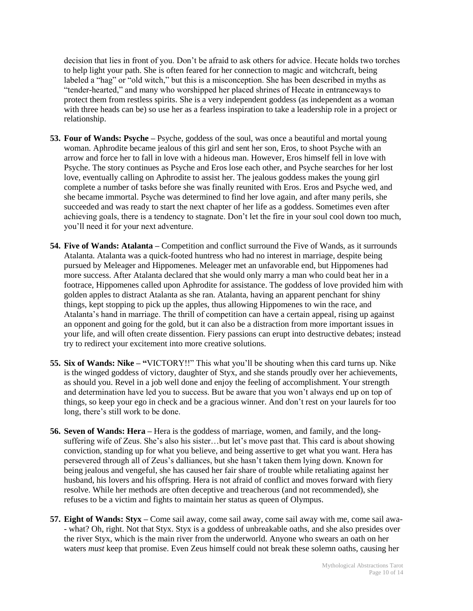decision that lies in front of you. Don't be afraid to ask others for advice. Hecate holds two torches to help light your path. She is often feared for her connection to magic and witchcraft, being labeled a "hag" or "old witch," but this is a misconception. She has been described in myths as "tender-hearted," and many who worshipped her placed shrines of Hecate in entranceways to protect them from restless spirits. She is a very independent goddess (as independent as a woman with three heads can be) so use her as a fearless inspiration to take a leadership role in a project or relationship.

- **53. Four of Wands: Psyche –** Psyche, goddess of the soul, was once a beautiful and mortal young woman. Aphrodite became jealous of this girl and sent her son, Eros, to shoot Psyche with an arrow and force her to fall in love with a hideous man. However, Eros himself fell in love with Psyche. The story continues as Psyche and Eros lose each other, and Psyche searches for her lost love, eventually calling on Aphrodite to assist her. The jealous goddess makes the young girl complete a number of tasks before she was finally reunited with Eros. Eros and Psyche wed, and she became immortal. Psyche was determined to find her love again, and after many perils, she succeeded and was ready to start the next chapter of her life as a goddess. Sometimes even after achieving goals, there is a tendency to stagnate. Don't let the fire in your soul cool down too much, you'll need it for your next adventure.
- **54. Five of Wands: Atalanta –** Competition and conflict surround the Five of Wands, as it surrounds Atalanta. Atalanta was a quick-footed huntress who had no interest in marriage, despite being pursued by Meleager and Hippomenes. Meleager met an unfavorable end, but Hippomenes had more success. After Atalanta declared that she would only marry a man who could beat her in a footrace, Hippomenes called upon Aphrodite for assistance. The goddess of love provided him with golden apples to distract Atalanta as she ran. Atalanta, having an apparent penchant for shiny things, kept stopping to pick up the apples, thus allowing Hippomenes to win the race, and Atalanta's hand in marriage. The thrill of competition can have a certain appeal, rising up against an opponent and going for the gold, but it can also be a distraction from more important issues in your life, and will often create dissention. Fiery passions can erupt into destructive debates; instead try to redirect your excitement into more creative solutions.
- **55. Six of Wands: Nike – "**VICTORY!!" This what you'll be shouting when this card turns up. Nike is the winged goddess of victory, daughter of Styx, and she stands proudly over her achievements, as should you. Revel in a job well done and enjoy the feeling of accomplishment. Your strength and determination have led you to success. But be aware that you won't always end up on top of things, so keep your ego in check and be a gracious winner. And don't rest on your laurels for too long, there's still work to be done.
- **56. Seven of Wands: Hera –** Hera is the goddess of marriage, women, and family, and the longsuffering wife of Zeus. She's also his sister…but let's move past that. This card is about showing conviction, standing up for what you believe, and being assertive to get what you want. Hera has persevered through all of Zeus's dalliances, but she hasn't taken them lying down. Known for being jealous and vengeful, she has caused her fair share of trouble while retaliating against her husband, his lovers and his offspring. Hera is not afraid of conflict and moves forward with fiery resolve. While her methods are often deceptive and treacherous (and not recommended), she refuses to be a victim and fights to maintain her status as queen of Olympus.
- **57. Eight of Wands: Styx –** Come sail away, come sail away, come sail away with me, come sail awa- - what? Oh, right. Not that Styx. Styx is a goddess of unbreakable oaths, and she also presides over the river Styx, which is the main river from the underworld. Anyone who swears an oath on her waters *must* keep that promise. Even Zeus himself could not break these solemn oaths, causing her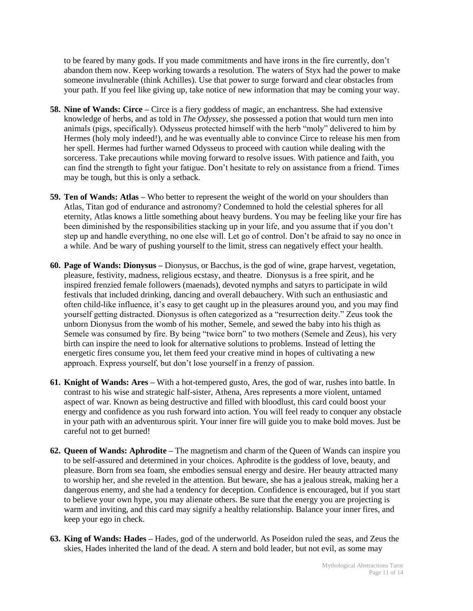to be feared by many gods. If you made commitments and have irons in the fire currently, don't abandon them now. Keep working towards a resolution. The waters of Styx had the power to make someone invulnerable (think Achilles). Use that power to surge forward and clear obstacles from your path. If you feel like giving up, take notice of new information that may be coming your way.

- **58. Nine of Wands: Circe –** Circe is a fiery goddess of magic, an enchantress. She had extensive knowledge of herbs, and as told in *The Odyssey*, she possessed a potion that would turn men into animals (pigs, specifically). Odysseus protected himself with the herb "moly" delivered to him by Hermes (holy moly indeed!), and he was eventually able to convince Circe to release his men from her spell. Hermes had further warned Odysseus to proceed with caution while dealing with the sorceress. Take precautions while moving forward to resolve issues. With patience and faith, you can find the strength to fight your fatigue. Don't hesitate to rely on assistance from a friend. Times may be tough, but this is only a setback.
- **59. Ten of Wands: Atlas –** Who better to represent the weight of the world on your shoulders than Atlas, Titan god of endurance and astronomy? Condemned to hold the celestial spheres for all eternity, Atlas knows a little something about heavy burdens. You may be feeling like your fire has been diminished by the responsibilities stacking up in your life, and you assume that if you don't step up and handle everything, no one else will. Let go of control. Don't be afraid to say no once in a while. And be wary of pushing yourself to the limit, stress can negatively effect your health.
- **60. Page of Wands: Dionysus –** Dionysus, or Bacchus, is the god of wine, grape harvest, vegetation, pleasure, festivity, madness, religious ecstasy, and theatre. Dionysus is a free spirit, and he inspired frenzied female followers (maenads), devoted nymphs and satyrs to participate in wild festivals that included drinking, dancing and overall debauchery. With such an enthusiastic and often child-like influence, it's easy to get caught up in the pleasures around you, and you may find yourself getting distracted. Dionysus is often categorized as a "resurrection deity." Zeus took the unborn Dionysus from the womb of his mother, Semele, and sewed the baby into his thigh as Semele was consumed by fire. By being "twice born" to two mothers (Semele and Zeus), his very birth can inspire the need to look for alternative solutions to problems. Instead of letting the energetic fires consume you, let them feed your creative mind in hopes of cultivating a new approach. Express yourself, but don't lose yourself in a frenzy of passion.
- **61. Knight of Wands: Ares –** With a hot-tempered gusto, Ares, the god of war, rushes into battle. In contrast to his wise and strategic half-sister, Athena, Ares represents a more violent, untamed aspect of war. Known as being destructive and filled with bloodlust, this card could boost your energy and confidence as you rush forward into action. You will feel ready to conquer any obstacle in your path with an adventurous spirit. Your inner fire will guide you to make bold moves. Just be careful not to get burned!
- **62. Queen of Wands: Aphrodite –** The magnetism and charm of the Queen of Wands can inspire you to be self-assured and determined in your choices. Aphrodite is the goddess of love, beauty, and pleasure. Born from sea foam, she embodies sensual energy and desire. Her beauty attracted many to worship her, and she reveled in the attention. But beware, she has a jealous streak, making her a dangerous enemy, and she had a tendency for deception. Confidence is encouraged, but if you start to believe your own hype, you may alienate others. Be sure that the energy you are projecting is warm and inviting, and this card may signify a healthy relationship. Balance your inner fires, and keep your ego in check.
- **63. King of Wands: Hades –** Hades, god of the underworld. As Poseidon ruled the seas, and Zeus the skies, Hades inherited the land of the dead. A stern and bold leader, but not evil, as some may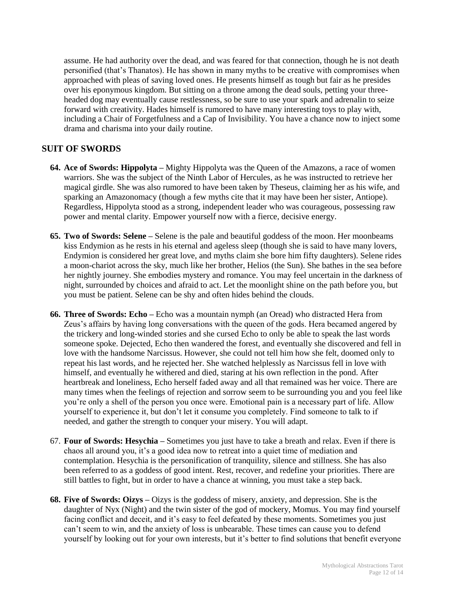assume. He had authority over the dead, and was feared for that connection, though he is not death personified (that's Thanatos). He has shown in many myths to be creative with compromises when approached with pleas of saving loved ones. He presents himself as tough but fair as he presides over his eponymous kingdom. But sitting on a throne among the dead souls, petting your threeheaded dog may eventually cause restlessness, so be sure to use your spark and adrenalin to seize forward with creativity. Hades himself is rumored to have many interesting toys to play with, including a Chair of Forgetfulness and a Cap of Invisibility. You have a chance now to inject some drama and charisma into your daily routine.

## <span id="page-11-0"></span>**SUIT OF SWORDS**

- **64. Ace of Swords: Hippolyta –** Mighty Hippolyta was the Queen of the Amazons, a race of women warriors. She was the subject of the Ninth Labor of Hercules, as he was instructed to retrieve her magical girdle. She was also rumored to have been taken by Theseus, claiming her as his wife, and sparking an Amazonomacy (though a few myths cite that it may have been her sister, Antiope). Regardless, Hippolyta stood as a strong, independent leader who was courageous, possessing raw power and mental clarity. Empower yourself now with a fierce, decisive energy.
- **65. Two of Swords: Selene –** Selene is the pale and beautiful goddess of the moon. Her moonbeams kiss Endymion as he rests in his eternal and ageless sleep (though she is said to have many lovers, Endymion is considered her great love, and myths claim she bore him fifty daughters). Selene rides a moon-chariot across the sky, much like her brother, Helios (the Sun). She bathes in the sea before her nightly journey. She embodies mystery and romance. You may feel uncertain in the darkness of night, surrounded by choices and afraid to act. Let the moonlight shine on the path before you, but you must be patient. Selene can be shy and often hides behind the clouds.
- **66. Three of Swords: Echo –** Echo was a mountain nymph (an Oread) who distracted Hera from Zeus's affairs by having long conversations with the queen of the gods. Hera becamed angered by the trickery and long-winded stories and she cursed Echo to only be able to speak the last words someone spoke. Dejected, Echo then wandered the forest, and eventually she discovered and fell in love with the handsome Narcissus. However, she could not tell him how she felt, doomed only to repeat his last words, and he rejected her. She watched helplessly as Narcissus fell in love with himself, and eventually he withered and died, staring at his own reflection in the pond. After heartbreak and loneliness, Echo herself faded away and all that remained was her voice. There are many times when the feelings of rejection and sorrow seem to be surrounding you and you feel like you're only a shell of the person you once were. Emotional pain is a necessary part of life. Allow yourself to experience it, but don't let it consume you completely. Find someone to talk to if needed, and gather the strength to conquer your misery. You will adapt.
- 67. **Four of Swords: Hesychia –** Sometimes you just have to take a breath and relax. Even if there is chaos all around you, it's a good idea now to retreat into a quiet time of mediation and contemplation. Hesychia is the personification of tranquility, silence and stillness. She has also been referred to as a goddess of good intent. Rest, recover, and redefine your priorities. There are still battles to fight, but in order to have a chance at winning, you must take a step back.
- **68. Five of Swords: Oizys –** Oizys is the goddess of misery, anxiety, and depression. She is the daughter of Nyx (Night) and the twin sister of the god of mockery, Momus. You may find yourself facing conflict and deceit, and it's easy to feel defeated by these moments. Sometimes you just can't seem to win, and the anxiety of loss is unbearable. These times can cause you to defend yourself by looking out for your own interests, but it's better to find solutions that benefit everyone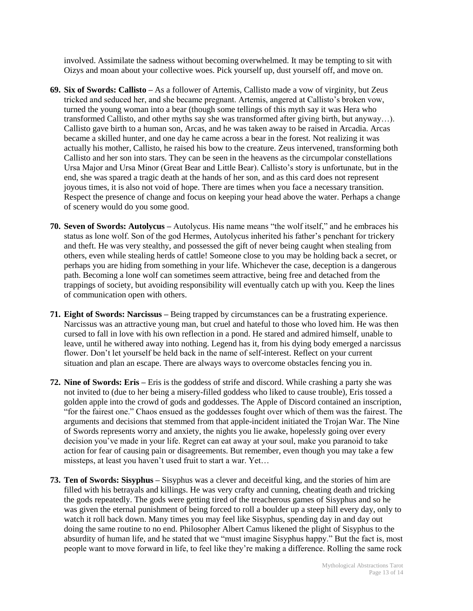involved. Assimilate the sadness without becoming overwhelmed. It may be tempting to sit with Oizys and moan about your collective woes. Pick yourself up, dust yourself off, and move on.

- **69. Six of Swords: Callisto –** As a follower of Artemis, Callisto made a vow of virginity, but Zeus tricked and seduced her, and she became pregnant. Artemis, angered at Callisto's broken vow, turned the young woman into a bear (though some tellings of this myth say it was Hera who transformed Callisto, and other myths say she was transformed after giving birth, but anyway…). Callisto gave birth to a human son, Arcas, and he was taken away to be raised in Arcadia. Arcas became a skilled hunter, and one day he came across a bear in the forest. Not realizing it was actually his mother, Callisto, he raised his bow to the creature. Zeus intervened, transforming both Callisto and her son into stars. They can be seen in the heavens as the circumpolar constellations Ursa Major and Ursa Minor (Great Bear and Little Bear). Callisto's story is unfortunate, but in the end, she was spared a tragic death at the hands of her son, and as this card does not represent joyous times, it is also not void of hope. There are times when you face a necessary transition. Respect the presence of change and focus on keeping your head above the water. Perhaps a change of scenery would do you some good.
- **70. Seven of Swords: Autolycus –** Autolycus. His name means "the wolf itself," and he embraces his status as lone wolf. Son of the god Hermes, Autolycus inherited his father's penchant for trickery and theft. He was very stealthy, and possessed the gift of never being caught when stealing from others, even while stealing herds of cattle! Someone close to you may be holding back a secret, or perhaps you are hiding from something in your life. Whichever the case, deception is a dangerous path. Becoming a lone wolf can sometimes seem attractive, being free and detached from the trappings of society, but avoiding responsibility will eventually catch up with you. Keep the lines of communication open with others.
- **71. Eight of Swords: Narcissus –** Being trapped by circumstances can be a frustrating experience. Narcissus was an attractive young man, but cruel and hateful to those who loved him. He was then cursed to fall in love with his own reflection in a pond. He stared and admired himself, unable to leave, until he withered away into nothing. Legend has it, from his dying body emerged a narcissus flower. Don't let yourself be held back in the name of self-interest. Reflect on your current situation and plan an escape. There are always ways to overcome obstacles fencing you in.
- **72. Nine of Swords: Eris –** Eris is the goddess of strife and discord. While crashing a party she was not invited to (due to her being a misery-filled goddess who liked to cause trouble), Eris tossed a golden apple into the crowd of gods and goddesses. The Apple of Discord contained an inscription, "for the fairest one." Chaos ensued as the goddesses fought over which of them was the fairest. The arguments and decisions that stemmed from that apple-incident initiated the Trojan War. The Nine of Swords represents worry and anxiety, the nights you lie awake, hopelessly going over every decision you've made in your life. Regret can eat away at your soul, make you paranoid to take action for fear of causing pain or disagreements. But remember, even though you may take a few missteps, at least you haven't used fruit to start a war. Yet…
- **73. Ten of Swords: Sisyphus –** Sisyphus was a clever and deceitful king, and the stories of him are filled with his betrayals and killings. He was very crafty and cunning, cheating death and tricking the gods repeatedly. The gods were getting tired of the treacherous games of Sisyphus and so he was given the eternal punishment of being forced to roll a boulder up a steep hill every day, only to watch it roll back down. Many times you may feel like Sisyphus, spending day in and day out doing the same routine to no end. Philosopher Albert Camus likened the plight of Sisyphus to the absurdity of human life, and he stated that we "must imagine Sisyphus happy." But the fact is, most people want to move forward in life, to feel like they're making a difference. Rolling the same rock